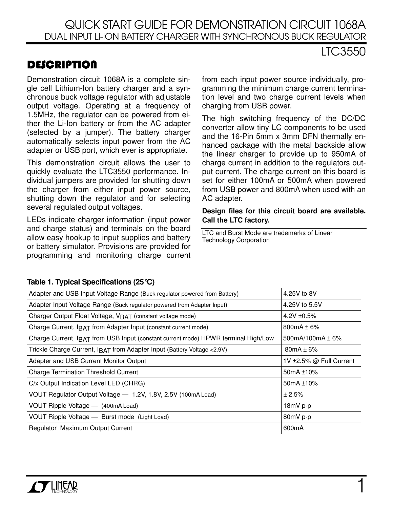## **DESCRIPTION**

Demonstration circuit 1068A is a complete single cell Lithium-Ion battery charger and a synchronous buck voltage regulator with adjustable output voltage. Operating at a frequency of 1.5MHz, the regulator can be powered from either the Li-Ion battery or from the AC adapter (selected by a jumper). The battery charger automatically selects input power from the AC adapter or USB port, which ever is appropriate.

This demonstration circuit allows the user to quickly evaluate the LTC3550 performance. Individual jumpers are provided for shutting down the charger from either input power source, shutting down the regulator and for selecting several regulated output voltages.

LEDs indicate charger information (input power and charge status) and terminals on the board allow easy hookup to input supplies and battery or battery simulator. Provisions are provided for programming and monitoring charge current from each input power source individually, programming the minimum charge current termination level and two charge current levels when charging from USB power.

LTC3550

The high switching frequency of the DC/DC converter allow tiny LC components to be used and the 16-Pin 5mm x 3mm DFN thermally enhanced package with the metal backside allow the linear charger to provide up to 950mA of charge current in addition to the regulators output current. The charge current on this board is set for either 100mA or 500mA when powered from USB power and 800mA when used with an AC adapter.

#### **Design files for this circuit board are available. Call the LTC factory.**

LTC and Burst Mode are trademarks of Linear Technology Corporation

| Table 1. Typical Specifications (20 C)                         |  |
|----------------------------------------------------------------|--|
| Adapter and USB Input Voltage Range (Buck regulator powered to |  |
|                                                                |  |

**Table 1. Typical Specifications (25°C)**

| Adapter and USB Input Voltage Range (Buck regulator powered from Battery)          | 4.25V to 8V             |
|------------------------------------------------------------------------------------|-------------------------|
| Adapter Input Voltage Range (Buck regulator powered from Adapter Input)            | 4.25V to 5.5V           |
| Charger Output Float Voltage, VBAT (constant voltage mode)                         | 4.2V $\pm$ 0.5%         |
| Charge Current, $I$ RAT from Adapter Input (constant current mode)                 | 800mA $\pm$ 6%          |
| Charge Current, IBAT from USB Input (constant current mode) HPWR terminal High/Low | 500mA/100mA $\pm$ 6%    |
| Trickle Charge Current, IBAT from Adapter Input (Battery Voltage < 2.9V)           | $80mA \pm 6%$           |
| Adapter and USB Current Monitor Output                                             | 1V ±2.5% @ Full Current |
| <b>Charge Termination Threshold Current</b>                                        | 50 $mA \pm 10\%$        |
| C/x Output Indication Level LED (CHRG)                                             | 50 $mA \pm 10\%$        |
| VOUT Regulator Output Voltage - 1.2V, 1.8V, 2.5V (100mA Load)                      | ± 2.5%                  |
| VOUT Ripple Voltage - (400mA Load)                                                 | 18mV p-p                |
| VOUT Ripple Voltage - Burst mode (Light Load)                                      | 80mV p-p                |
| Regulator Maximum Output Current                                                   | 600mA                   |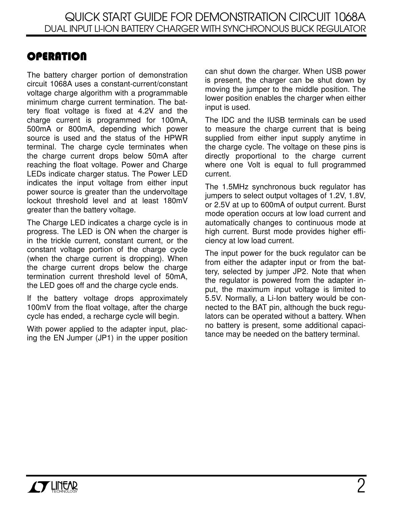# **OPERATION**

The battery charger portion of demonstration circuit 1068A uses a constant-current/constant voltage charge algorithm with a programmable minimum charge current termination. The battery float voltage is fixed at 4.2V and the charge current is programmed for 100mA, 500mA or 800mA, depending which power source is used and the status of the HPWR terminal. The charge cycle terminates when the charge current drops below 50mA after reaching the float voltage. Power and Charge LEDs indicate charger status. The Power LED indicates the input voltage from either input power source is greater than the undervoltage lockout threshold level and at least 180mV greater than the battery voltage.

The Charge LED indicates a charge cycle is in progress. The LED is ON when the charger is in the trickle current, constant current, or the constant voltage portion of the charge cycle (when the charge current is dropping). When the charge current drops below the charge termination current threshold level of 50mA, the LED goes off and the charge cycle ends.

If the battery voltage drops approximately 100mV from the float voltage, after the charge cycle has ended, a recharge cycle will begin.

With power applied to the adapter input, placing the EN Jumper (JP1) in the upper position

can shut down the charger. When USB power is present, the charger can be shut down by moving the jumper to the middle position. The lower position enables the charger when either input is used.

The IDC and the IUSB terminals can be used to measure the charge current that is being supplied from either input supply anytime in the charge cycle. The voltage on these pins is directly proportional to the charge current where one Volt is equal to full programmed current.

The 1.5MHz synchronous buck regulator has jumpers to select output voltages of 1.2V, 1.8V, or 2.5V at up to 600mA of output current. Burst mode operation occurs at low load current and automatically changes to continuous mode at high current. Burst mode provides higher efficiency at low load current.

The input power for the buck regulator can be from either the adapter input or from the battery, selected by jumper JP2. Note that when the regulator is powered from the adapter input, the maximum input voltage is limited to 5.5V. Normally, a Li-Ion battery would be connected to the BAT pin, although the buck regulators can be operated without a battery. When no battery is present, some additional capacitance may be needed on the battery terminal.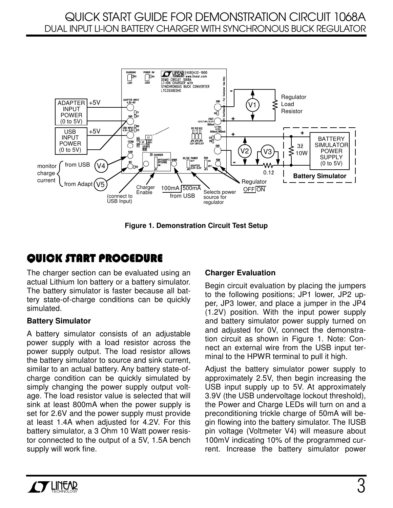

**Figure 1. Demonstration Circuit Test Setup**

## QUICK START PROCEDURE

The charger section can be evaluated using an actual Lithium Ion battery or a battery simulator. The battery simulator is faster because all battery state-of-charge conditions can be quickly simulated.

#### **Battery Simulator**

A battery simulator consists of an adjustable power supply with a load resistor across the power supply output. The load resistor allows the battery simulator to source and sink current, similar to an actual battery. Any battery state-ofcharge condition can be quickly simulated by simply changing the power supply output voltage. The load resistor value is selected that will sink at least 800mA when the power supply is set for 2.6V and the power supply must provide at least 1.4A when adjusted for 4.2V. For this battery simulator, a 3 Ohm 10 Watt power resistor connected to the output of a 5V, 1.5A bench supply will work fine.

### **Charger Evaluation**

Begin circuit evaluation by placing the jumpers to the following positions; JP1 lower, JP2 upper, JP3 lower, and place a jumper in the JP4 (1.2V) position. With the input power supply and battery simulator power supply turned on and adjusted for 0V, connect the demonstration circuit as shown in Figure 1. Note: Connect an external wire from the USB input terminal to the HPWR terminal to pull it high.

Adjust the battery simulator power supply to approximately 2.5V, then begin increasing the USB input supply up to 5V. At approximately 3.9V (the USB undervoltage lockout threshold), the Power and Charge LEDs will turn on and a preconditioning trickle charge of 50mA will begin flowing into the battery simulator. The IUSB pin voltage (Voltmeter V4) will measure about 100mV indicating 10% of the programmed current. Increase the battery simulator power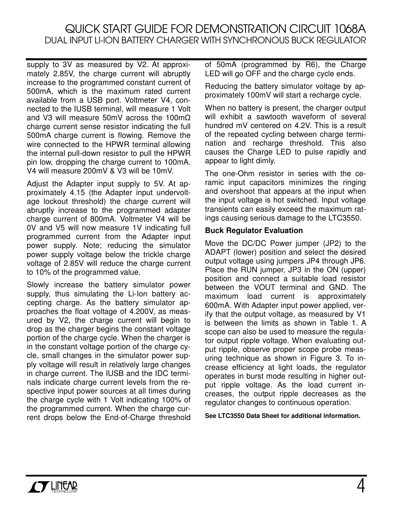supply to 3V as measured by V2. At approximately 2.85V, the charge current will abruptly increase to the programmed constant current of 500mA, which is the maximum rated current available from a USB port. Voltmeter V4, connected to the IUSB terminal, will measure 1 Volt and V3 will measure 50mV across the 100m $\Omega$ charge current sense resistor indicating the full 500mA charge current is flowing. Remove the wire connected to the HPWR terminal allowing the internal pull-down resistor to pull the HPWR pin low, dropping the charge current to 100mA. V4 will measure 200mV & V3 will be 10mV.

Adjust the Adapter input supply to 5V. At approximately 4.15 (the Adapter input undervoltage lockout threshold) the charge current will abruptly increase to the programmed adapter charge current of 800mA. Voltmeter V4 will be 0V and V5 will now measure 1V indicating full programmed current from the Adapter input power supply. Note; reducing the simulator power supply voltage below the trickle charge voltage of 2.85V will reduce the charge current to 10% of the programmed value.

Slowly increase the battery simulator power supply, thus simulating the Li-Ion battery accepting charge. As the battery simulator approaches the float voltage of 4.200V, as measured by V2, the charge current will begin to drop as the charger begins the constant voltage portion of the charge cycle. When the charger is in the constant voltage portion of the charge cycle, small changes in the simulator power supply voltage will result in relatively large changes in charge current. The IUSB and the IDC terminals indicate charge current levels from the respective input power sources at all times during the charge cycle with 1 Volt indicating 100% of the programmed current. When the charge current drops below the End-of-Charge threshold

of 50mA (programmed by R6), the Charge LED will go OFF and the charge cycle ends.

Reducing the battery simulator voltage by approximately 100mV will start a recharge cycle.

When no battery is present, the charger output will exhibit a sawtooth waveform of several hundred mV centered on 4.2V. This is a result of the repeated cycling between charge termination and recharge threshold. This also causes the Charge LED to pulse rapidly and appear to light dimly.

The one-Ohm resistor in series with the ceramic input capacitors minimizes the ringing and overshoot that appears at the input when the input voltage is hot switched. Input voltage transients can easily exceed the maximum ratings causing serious damage to the LTC3550.

#### **Buck Regulator Evaluation**

Move the DC/DC Power jumper (JP2) to the ADAPT (lower) position and select the desired output voltage using jumpers JP4 through JP6. Place the RUN jumper, JP3 in the ON (upper) position and connect a suitable load resistor between the VOUT terminal and GND. The maximum load current is approximately 600mA. With Adapter input power applied, verify that the output voltage, as measured by V1 is between the limits as shown in Table 1. A scope can also be used to measure the regulator output ripple voltage. When evaluating output ripple, observe proper scope probe measuring technique as shown in Figure 3. To increase efficiency at light loads, the regulator operates in burst mode resulting in higher output ripple voltage. As the load current increases, the output ripple decreases as the regulator changes to continuous operation.

**See LTC3550 Data Sheet for additional information.**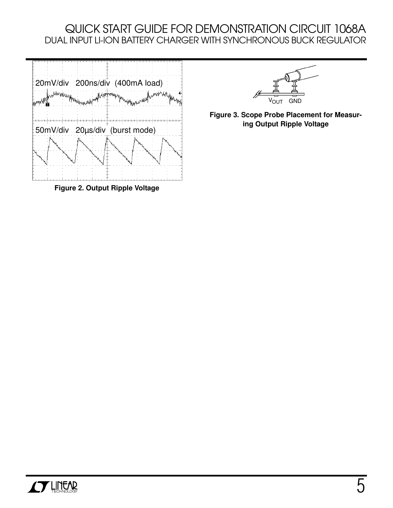

**Figure 2. Output Ripple Voltage**



**Figure 3. Scope Probe Placement for Measuring Output Ripple Voltage**